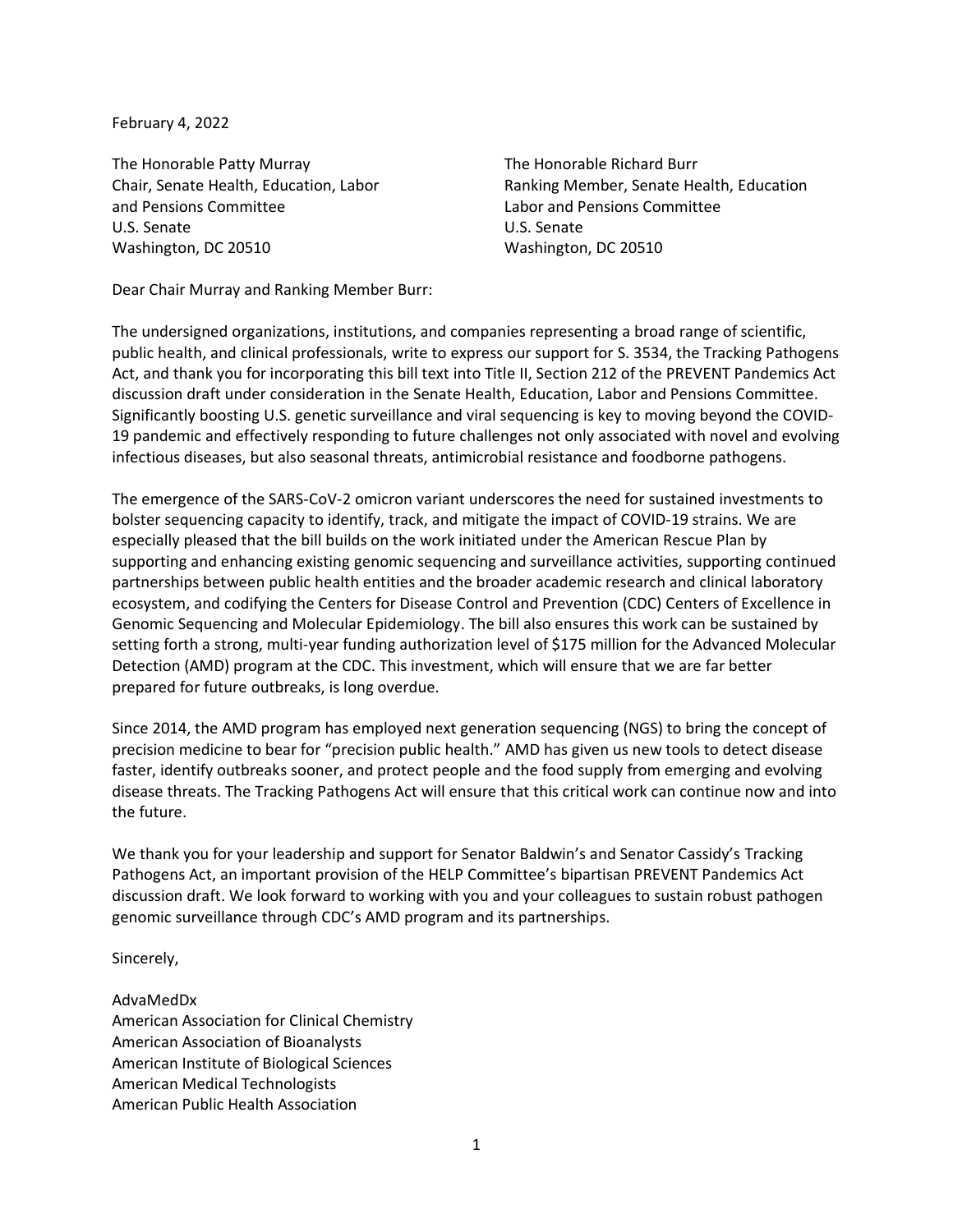February 4, 2022

The Honorable Patty Murray The Honorable Richard Burr and Pensions Committee Labor and Pensions Committee U.S. Senate U.S. Senate Washington, DC 20510 Washington, DC 20510

Chair, Senate Health, Education, Labor Ranking Member, Senate Health, Education

Dear Chair Murray and Ranking Member Burr:

The undersigned organizations, institutions, and companies representing a broad range of scientific, public health, and clinical professionals, write to express our support for S. 3534, the Tracking Pathogens Act, and thank you for incorporating this bill text into Title II, Section 212 of the PREVENT Pandemics Act discussion draft under consideration in the Senate Health, Education, Labor and Pensions Committee. Significantly boosting U.S. genetic surveillance and viral sequencing is key to moving beyond the COVID-19 pandemic and effectively responding to future challenges not only associated with novel and evolving infectious diseases, but also seasonal threats, antimicrobial resistance and foodborne pathogens.

The emergence of the SARS-CoV-2 omicron variant underscores the need for sustained investments to bolster sequencing capacity to identify, track, and mitigate the impact of COVID-19 strains. We are especially pleased that the bill builds on the work initiated under the American Rescue Plan by supporting and enhancing existing genomic sequencing and surveillance activities, supporting continued partnerships between public health entities and the broader academic research and clinical laboratory ecosystem, and codifying the Centers for Disease Control and Prevention (CDC) Centers of Excellence in Genomic Sequencing and Molecular Epidemiology. The bill also ensures this work can be sustained by setting forth a strong, multi-year funding authorization level of \$175 million for the Advanced Molecular Detection (AMD) program at the CDC. This investment, which will ensure that we are far better prepared for future outbreaks, is long overdue.

Since 2014, the AMD program has employed next generation sequencing (NGS) to bring the concept of precision medicine to bear for "precision public health." AMD has given us new tools to detect disease faster, identify outbreaks sooner, and protect people and the food supply from emerging and evolving disease threats. The Tracking Pathogens Act will ensure that this critical work can continue now and into the future.

We thank you for your leadership and support for Senator Baldwin's and Senator Cassidy's Tracking Pathogens Act, an important provision of the HELP Committee's bipartisan PREVENT Pandemics Act discussion draft. We look forward to working with you and your colleagues to sustain robust pathogen genomic surveillance through CDC's AMD program and its partnerships.

Sincerely,

AdvaMedDx American Association for Clinical Chemistry American Association of Bioanalysts American Institute of Biological Sciences American Medical Technologists American Public Health Association